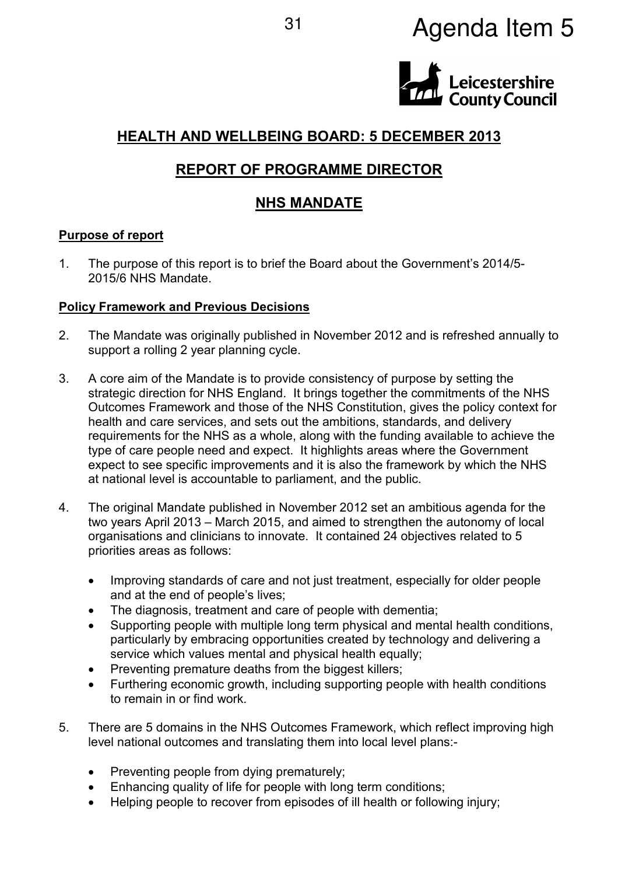# <sup>31</sup> Agenda Item 5



## **HEALTH AND WELLBEING BOARD: 5 DECEMBER 2013**

## **REPORT OF PROGRAMME DIRECTOR**

## **NHS MANDATE**

#### **Purpose of report**

1. The purpose of this report is to brief the Board about the Government's 2014/5- 2015/6 NHS Mandate.

#### **Policy Framework and Previous Decisions**

- 2. The Mandate was originally published in November 2012 and is refreshed annually to support a rolling 2 year planning cycle.
- 3. A core aim of the Mandate is to provide consistency of purpose by setting the strategic direction for NHS England. It brings together the commitments of the NHS Outcomes Framework and those of the NHS Constitution, gives the policy context for health and care services, and sets out the ambitions, standards, and delivery requirements for the NHS as a whole, along with the funding available to achieve the type of care people need and expect. It highlights areas where the Government expect to see specific improvements and it is also the framework by which the NHS at national level is accountable to parliament, and the public.
- 4. The original Mandate published in November 2012 set an ambitious agenda for the two years April 2013 – March 2015, and aimed to strengthen the autonomy of local organisations and clinicians to innovate. It contained 24 objectives related to 5 priorities areas as follows:
	- Improving standards of care and not just treatment, especially for older people and at the end of people's lives;
	- The diagnosis, treatment and care of people with dementia;
	- Supporting people with multiple long term physical and mental health conditions, particularly by embracing opportunities created by technology and delivering a service which values mental and physical health equally;
	- Preventing premature deaths from the biggest killers:
	- Furthering economic growth, including supporting people with health conditions to remain in or find work.
- 5. There are 5 domains in the NHS Outcomes Framework, which reflect improving high level national outcomes and translating them into local level plans:-
	- Preventing people from dying prematurely;
	- Enhancing quality of life for people with long term conditions;
	- Helping people to recover from episodes of ill health or following injury;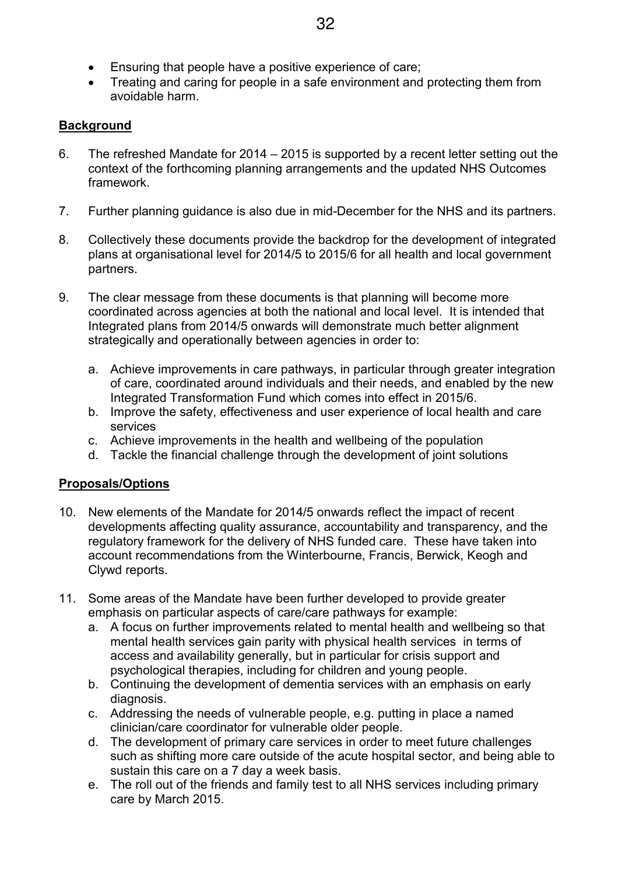- Ensuring that people have a positive experience of care;
- Treating and caring for people in a safe environment and protecting them from avoidable harm.

#### **Background**

- 6. The refreshed Mandate for 2014 2015 is supported by a recent letter setting out the context of the forthcoming planning arrangements and the updated NHS Outcomes framework.
- 7. Further planning guidance is also due in mid-December for the NHS and its partners.
- 8. Collectively these documents provide the backdrop for the development of integrated plans at organisational level for 2014/5 to 2015/6 for all health and local government partners.
- 9. The clear message from these documents is that planning will become more coordinated across agencies at both the national and local level. It is intended that Integrated plans from 2014/5 onwards will demonstrate much better alignment strategically and operationally between agencies in order to:
	- a. Achieve improvements in care pathways, in particular through greater integration of care, coordinated around individuals and their needs, and enabled by the new Integrated Transformation Fund which comes into effect in 2015/6.
	- b. Improve the safety, effectiveness and user experience of local health and care services
	- c. Achieve improvements in the health and wellbeing of the population
	- d. Tackle the financial challenge through the development of joint solutions

#### **Proposals/Options**

- 10. New elements of the Mandate for 2014/5 onwards reflect the impact of recent developments affecting quality assurance, accountability and transparency, and the regulatory framework for the delivery of NHS funded care. These have taken into account recommendations from the Winterbourne, Francis, Berwick, Keogh and Clywd reports.
- 11. Some areas of the Mandate have been further developed to provide greater emphasis on particular aspects of care/care pathways for example:
	- a. A focus on further improvements related to mental health and wellbeing so that mental health services gain parity with physical health services in terms of access and availability generally, but in particular for crisis support and psychological therapies, including for children and young people.
	- b. Continuing the development of dementia services with an emphasis on early diagnosis.
	- c. Addressing the needs of vulnerable people, e.g. putting in place a named clinician/care coordinator for vulnerable older people.
	- d. The development of primary care services in order to meet future challenges such as shifting more care outside of the acute hospital sector, and being able to sustain this care on a 7 day a week basis.
	- e. The roll out of the friends and family test to all NHS services including primary care by March 2015.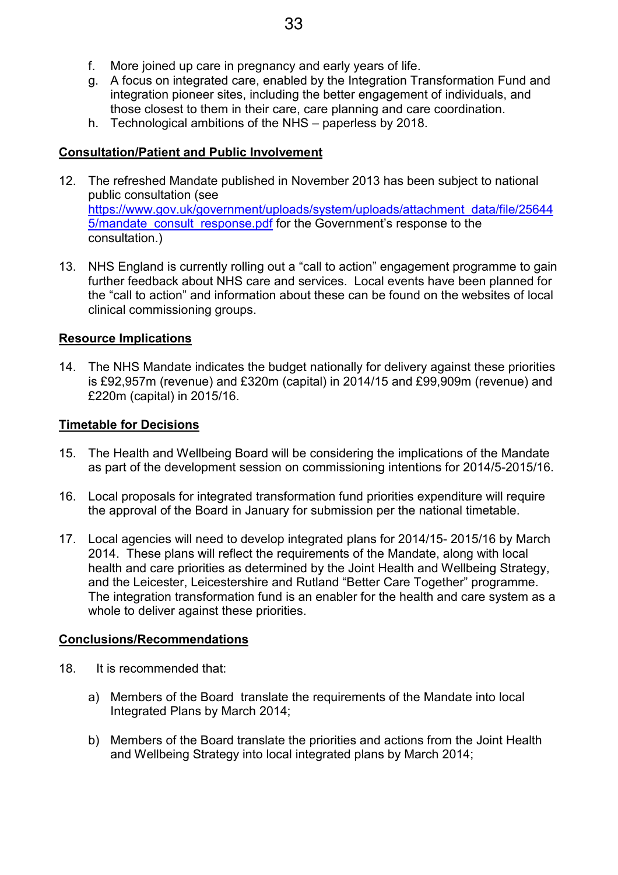- g. A focus on integrated care, enabled by the Integration Transformation Fund and integration pioneer sites, including the better engagement of individuals, and those closest to them in their care, care planning and care coordination.
- h. Technological ambitions of the NHS paperless by 2018.

## **Consultation/Patient and Public Involvement**

- 12. The refreshed Mandate published in November 2013 has been subject to national public consultation (see https://www.gov.uk/government/uploads/system/uploads/attachment\_data/file/25644 5/mandate consult response.pdf for the Government's response to the consultation.)
- 13. NHS England is currently rolling out a "call to action" engagement programme to gain further feedback about NHS care and services. Local events have been planned for the "call to action" and information about these can be found on the websites of local clinical commissioning groups.

## **Resource Implications**

14. The NHS Mandate indicates the budget nationally for delivery against these priorities is £92,957m (revenue) and £320m (capital) in 2014/15 and £99,909m (revenue) and £220m (capital) in 2015/16.

## **Timetable for Decisions**

- 15. The Health and Wellbeing Board will be considering the implications of the Mandate as part of the development session on commissioning intentions for 2014/5-2015/16.
- 16. Local proposals for integrated transformation fund priorities expenditure will require the approval of the Board in January for submission per the national timetable.
- 17. Local agencies will need to develop integrated plans for 2014/15- 2015/16 by March 2014. These plans will reflect the requirements of the Mandate, along with local health and care priorities as determined by the Joint Health and Wellbeing Strategy, and the Leicester, Leicestershire and Rutland "Better Care Together" programme. The integration transformation fund is an enabler for the health and care system as a whole to deliver against these priorities.

## **Conclusions/Recommendations**

- 18. It is recommended that:
	- a) Members of the Board translate the requirements of the Mandate into local Integrated Plans by March 2014;
	- b) Members of the Board translate the priorities and actions from the Joint Health and Wellbeing Strategy into local integrated plans by March 2014;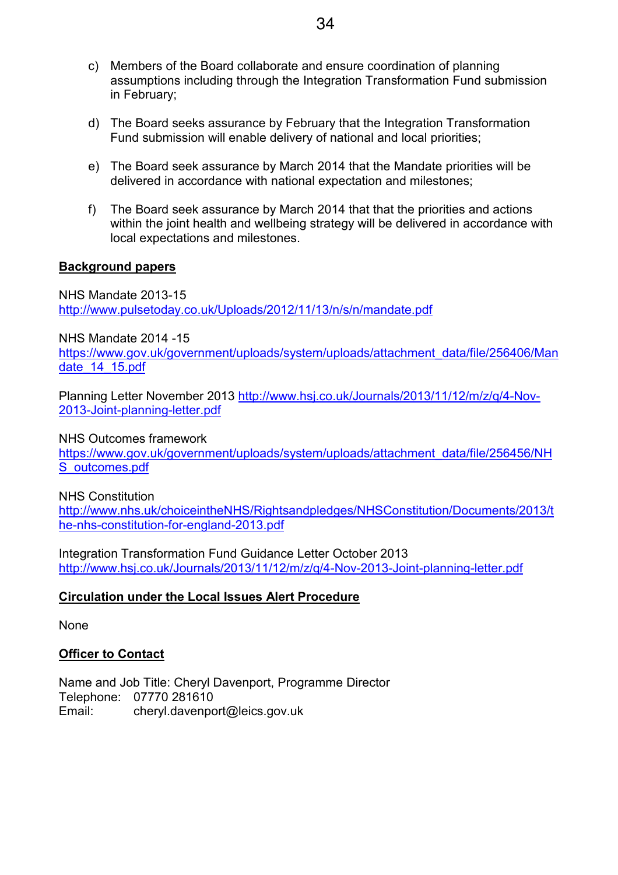- c) Members of the Board collaborate and ensure coordination of planning assumptions including through the Integration Transformation Fund submission in February;
- d) The Board seeks assurance by February that the Integration Transformation Fund submission will enable delivery of national and local priorities;
- e) The Board seek assurance by March 2014 that the Mandate priorities will be delivered in accordance with national expectation and milestones;
- f) The Board seek assurance by March 2014 that that the priorities and actions within the joint health and wellbeing strategy will be delivered in accordance with local expectations and milestones.

#### **Background papers**

NHS Mandate 2013-15 http://www.pulsetoday.co.uk/Uploads/2012/11/13/n/s/n/mandate.pdf

NHS Mandate 2014 -15

https://www.gov.uk/government/uploads/system/uploads/attachment\_data/file/256406/Man date 14 15.pdf

Planning Letter November 2013 http://www.hsj.co.uk/Journals/2013/11/12/m/z/q/4-Nov-2013-Joint-planning-letter.pdf

NHS Outcomes framework

https://www.gov.uk/government/uploads/system/uploads/attachment\_data/file/256456/NH S\_outcomes.pdf

#### NHS Constitution

http://www.nhs.uk/choiceintheNHS/Rightsandpledges/NHSConstitution/Documents/2013/t he-nhs-constitution-for-england-2013.pdf

Integration Transformation Fund Guidance Letter October 2013 http://www.hsj.co.uk/Journals/2013/11/12/m/z/q/4-Nov-2013-Joint-planning-letter.pdf

#### **Circulation under the Local Issues Alert Procedure**

None

#### **Officer to Contact**

Name and Job Title: Cheryl Davenport, Programme Director Telephone: 07770 281610 Email: cheryl.davenport@leics.gov.uk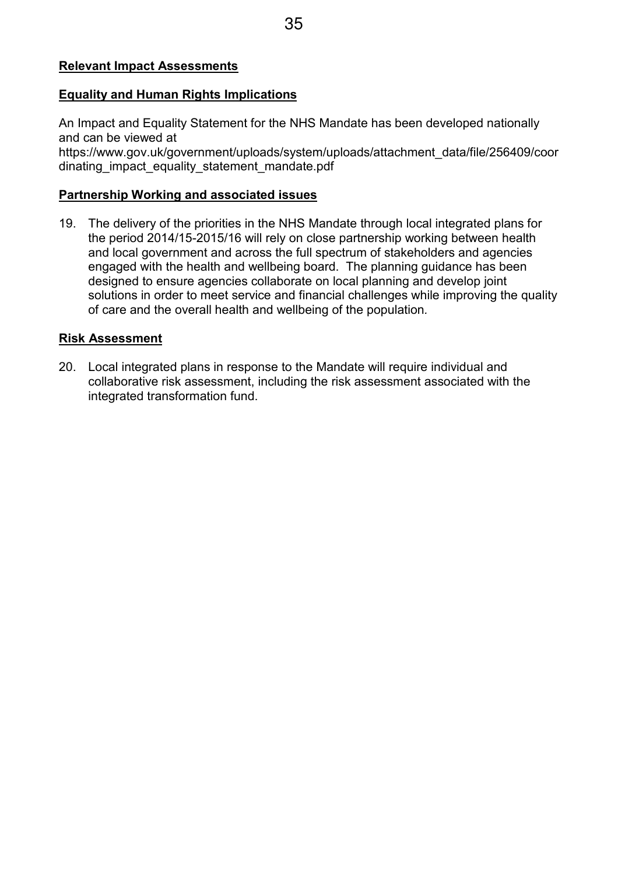## **Relevant Impact Assessments**

#### **Equality and Human Rights Implications**

An Impact and Equality Statement for the NHS Mandate has been developed nationally and can be viewed at

https://www.gov.uk/government/uploads/system/uploads/attachment\_data/file/256409/coor dinating\_impact\_equality\_statement\_mandate.pdf

## **Partnership Working and associated issues**

19. The delivery of the priorities in the NHS Mandate through local integrated plans for the period 2014/15-2015/16 will rely on close partnership working between health and local government and across the full spectrum of stakeholders and agencies engaged with the health and wellbeing board. The planning guidance has been designed to ensure agencies collaborate on local planning and develop joint solutions in order to meet service and financial challenges while improving the quality of care and the overall health and wellbeing of the population*.*

## **Risk Assessment**

20. Local integrated plans in response to the Mandate will require individual and collaborative risk assessment, including the risk assessment associated with the integrated transformation fund.